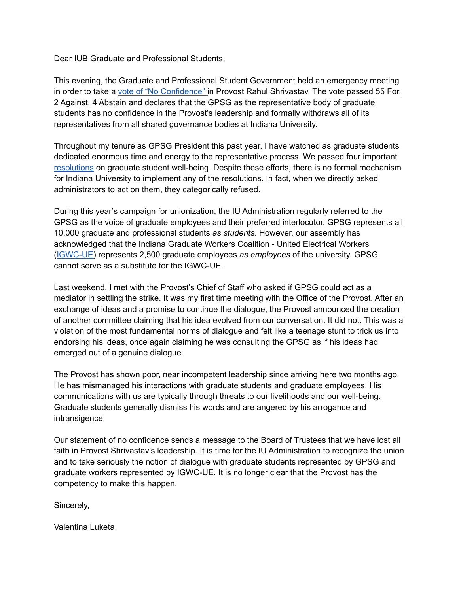Dear IUB Graduate and Professional Students,

This evening, the Graduate and Professional Student Government held an emergency meeting in order to take a vote of "No [Confidence"](https://gpsg.indiana.edu/advocacy/Resolution%20PDFs/2021-22/Resolution%20of%20No%20Confidence.pdf) in Provost Rahul Shrivastav. The vote passed 55 For, 2 Against, 4 Abstain and declares that the GPSG as the representative body of graduate students has no confidence in the Provost's leadership and formally withdraws all of its representatives from all shared governance bodies at Indiana University.

Throughout my tenure as GPSG President this past year, I have watched as graduate students dedicated enormous time and energy to the representative process. We passed four important [resolutions](https://gpsg.indiana.edu/advocacy/resolutions.html) on graduate student well-being. Despite these efforts, there is no formal mechanism for Indiana University to implement any of the resolutions. In fact, when we directly asked administrators to act on them, they categorically refused.

During this year's campaign for unionization, the IU Administration regularly referred to the GPSG as the voice of graduate employees and their preferred interlocutor. GPSG represents all 10,000 graduate and professional students *as students*. However, our assembly has acknowledged that the Indiana Graduate Workers Coalition - United Electrical Workers ([IGWC-UE\)](https://www.indianagradworkers.org/) represents 2,500 graduate employees *as employees* of the university. GPSG cannot serve as a substitute for the IGWC-UE.

Last weekend, I met with the Provost's Chief of Staff who asked if GPSG could act as a mediator in settling the strike. It was my first time meeting with the Office of the Provost. After an exchange of ideas and a promise to continue the dialogue, the Provost announced the creation of another committee claiming that his idea evolved from our conversation. It did not. This was a violation of the most fundamental norms of dialogue and felt like a teenage stunt to trick us into endorsing his ideas, once again claiming he was consulting the GPSG as if his ideas had emerged out of a genuine dialogue.

The Provost has shown poor, near incompetent leadership since arriving here two months ago. He has mismanaged his interactions with graduate students and graduate employees. His communications with us are typically through threats to our livelihoods and our well-being. Graduate students generally dismiss his words and are angered by his arrogance and intransigence.

Our statement of no confidence sends a message to the Board of Trustees that we have lost all faith in Provost Shrivastav's leadership. It is time for the IU Administration to recognize the union and to take seriously the notion of dialogue with graduate students represented by GPSG and graduate workers represented by IGWC-UE. It is no longer clear that the Provost has the competency to make this happen.

Sincerely,

Valentina Luketa